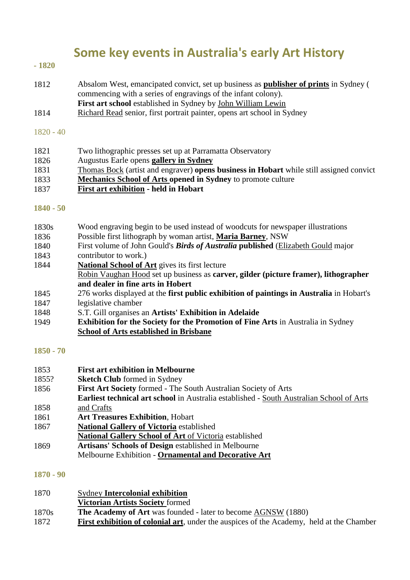# **Some key events in Australia's early Art History**

## **- 1820**

- 1812 Absalom West, emancipated convict, set up business as **publisher of prints** in Sydney ( commencing with a series of engravings of the infant colony). **First art school** established in Sydney by John William Lewin
- 1814 Richard Read senior, first portrait painter, opens art school in Sydney

#### 1820 - 40

1821 1826 1831 1833 1837 Two lithographic presses set up at Parramatta Observatory Augustus Earle opens **gallery in Sydney** Thomas Bock (artist and engraver) **opens business in Hobart** while still assigned convict **Mechanics School of Arts opened in Sydney** to promote culture **First art exhibition - held in Hobart**

### **1840 - 50**

- 1830s Wood engraving begin to be used instead of woodcuts for newspaper illustrations
- 1836 Possible first lithograph by woman artist, **Maria Barney**, NSW
- 1840 First volume of John Gould's *Birds of Australia* **published** (Elizabeth Gould major
- 1843 contributor to work.)
- 1844 **National School of Art** gives its first lecture
- Robin Vaughan Hood set up business as **carver, gilder (picture framer), lithographer and dealer in fine arts in Hobert**
- 1845 1847 276 works displayed at the **first public exhibition of paintings in Australia** in Hobart's legislative chamber
- 1848 S.T. Gill organises an **Artists' Exhibition in Adelaide**
- 1949 **Exhibition for the Society for the Promotion of Fine Arts** in Australia in Sydney **School of Arts established in Brisbane**

### **1850 - 70**

1853 1855? 1856 1858 1861 1867 1869 **First art exhibition in Melbourne Sketch Club** formed in Sydney **First Art Society** formed - The South Australian Society of Arts **Earliest technical art school** in Australia established - South Australian School of Arts and Crafts **Art Treasures Exhibition**, Hobart **National Gallery of Victoria** established **National Gallery School of Art** of Victoria established **Artisans' Schools of Design** established in Melbourne Melbourne Exhibition - **Ornamental and Decorative Art**

### **1870 - 90**

| 1870  | <b>Sydney Intercolonial exhibition</b>                                                          |
|-------|-------------------------------------------------------------------------------------------------|
|       | <b>Victorian Artists Society formed</b>                                                         |
| 1870s | <b>The Academy of Art</b> was founded - later to become AGNSW (1880)                            |
| 1872  | <b>First exhibition of colonial art, under the auspices of the Academy, held at the Chamber</b> |